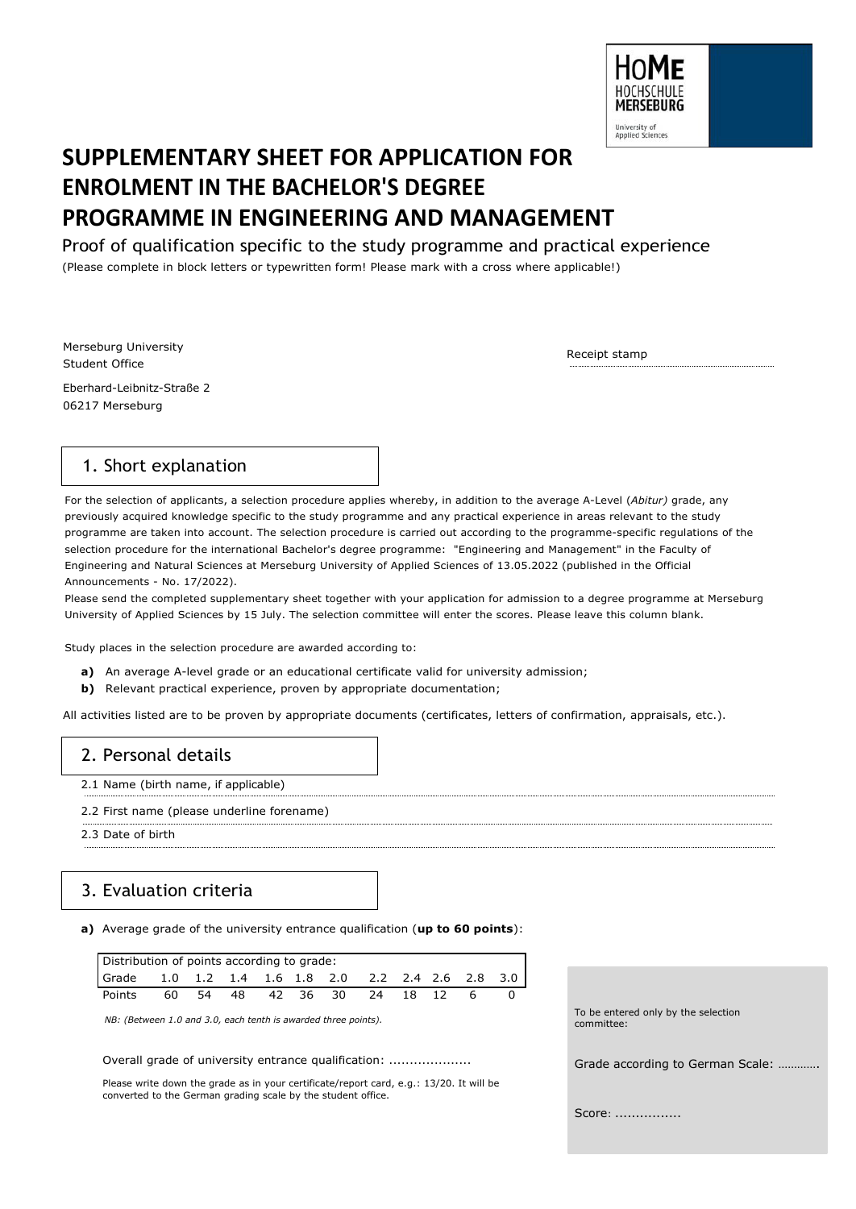

# **SUPPLEMENTARY SHEET FOR APPLICATION FOR ENROLMENT IN THE BACHELOR'S DEGREE PROGRAMME IN ENGINEERING AND MANAGEMENT**

Proof of qualification specific to the study programme and practical experience

(Please complete in block letters or typewritten form! Please mark with a cross where applicable!)

Merseburg University Student Office Eberhard-Leibnitz-Straße 2 06217 Merseburg

Receipt stamp

## 1. Short explanation

For the selection of applicants, a selection procedure applies whereby, in addition to the average A-Level (*Abitur)* grade, any previously acquired knowledge specific to the study programme and any practical experience in areas relevant to the study programme are taken into account. The selection procedure is carried out according to the programme-specific regulations of the selection procedure for the international Bachelor's degree programme: "Engineering and Management" in the Faculty of Engineering and Natural Sciences at Merseburg University of Applied Sciences of 13.05.2022 (published in the Official Announcements - No. 17/2022).

Please send the completed supplementary sheet together with your application for admission to a degree programme at Merseburg University of Applied Sciences by 15 July. The selection committee will enter the scores. Please leave this column blank.

Study places in the selection procedure are awarded according to:

- **a)** An average A-level grade or an educational certificate valid for university admission;
- **b)** Relevant practical experience, proven by appropriate documentation;

All activities listed are to be proven by appropriate documents (certificates, letters of confirmation, appraisals, etc.).

## 2. Personal details

- 2.1 Name (birth name, if applicable)
- 2.2 First name (please underline forename)
- 2.3 Date of birth

# 3. Evaluation criteria

**a)** Average grade of the university entrance qualification (**up to 60 points**):

| Distribution of points according to grade:                                                     |    |    |  |  |  |             |     |       |  |  |
|------------------------------------------------------------------------------------------------|----|----|--|--|--|-------------|-----|-------|--|--|
| l Grade       1.0     1.2     1.4     1.6    1.8    2.0      2.2    2.4   2.6    2.8    3.0  l |    |    |  |  |  |             |     |       |  |  |
| Points                                                                                         | 60 | 54 |  |  |  | 48 42 36 30 | -24 | 18 12 |  |  |

*NB: (Between 1.0 and 3.0, each tenth is awarded three points).*

Overall grade of university entrance qualification: ....................

Please write down the grade as in your certificate/report card, e.g.: 13/20. It will be converted to the German grading scale by the student office.

To be entered only by the selection committee: Grade according to German Scale: ………….

Score: ................